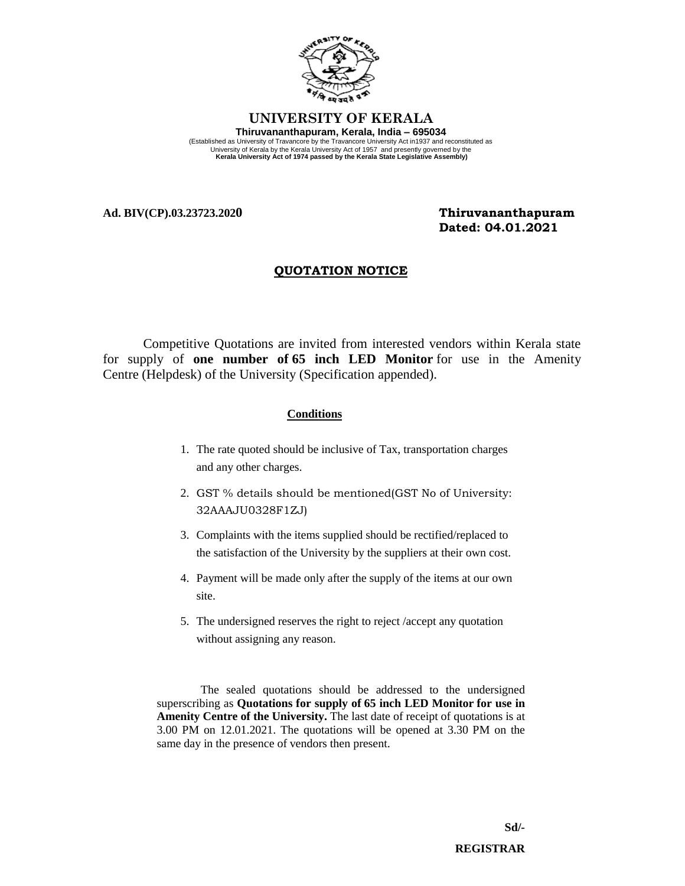

## **UNIVERSITY OF KERALA Thiruvananthapuram, Kerala, India – 695034**  (Established as University of Travancore by the Travancore University Act in1937 and reconstituted as University of Kerala by the Kerala University Act of 1957 and presently governed by the **Kerala University Act of 1974 passed by the Kerala State Legislative Assembly)**

**Ad. BIV(CP).03.23723.2020 Thiruvananthapuram**

 **Dated: 04.01.2021**

## **QUOTATION NOTICE**

Competitive Quotations are invited from interested vendors within Kerala state for supply of **one number of 65 inch LED Monitor** for use in the Amenity Centre (Helpdesk) of the University (Specification appended).

## **Conditions**

- 1. The rate quoted should be inclusive of Tax, transportation charges and any other charges.
- 2. GST % details should be mentioned(GST No of University: 32AAAJU0328F1ZJ)
- 3. Complaints with the items supplied should be rectified/replaced to the satisfaction of the University by the suppliers at their own cost.
- 4. Payment will be made only after the supply of the items at our own site.
- 5. The undersigned reserves the right to reject /accept any quotation without assigning any reason.

The sealed quotations should be addressed to the undersigned superscribing as **Quotations for supply of 65 inch LED Monitor for use in Amenity Centre of the University.** The last date of receipt of quotations is at 3.00 PM on 12.01.2021. The quotations will be opened at 3.30 PM on the same day in the presence of vendors then present.